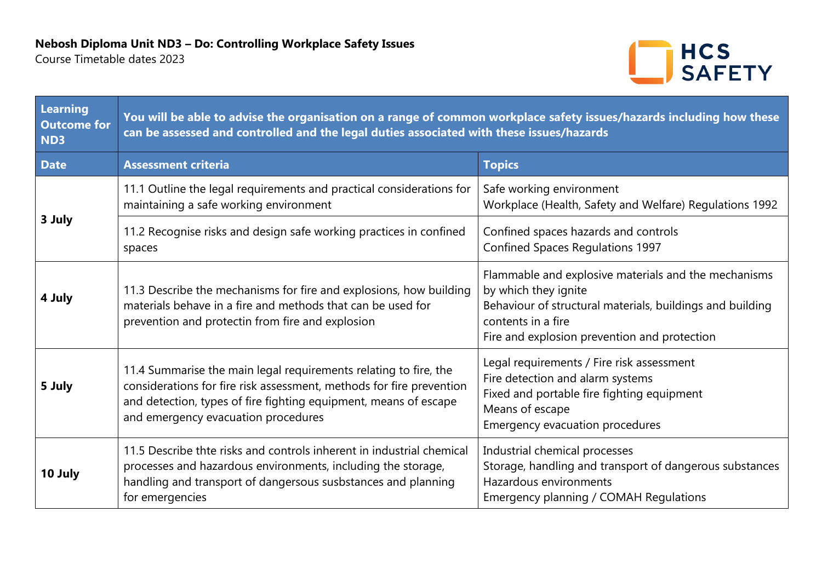Course Timetable dates 2023



| Learning<br><b>Outcome for</b><br>ND3 | You will be able to advise the organisation on a range of common workplace safety issues/hazards including how these<br>can be assessed and controlled and the legal duties associated with these issues/hazards                                    |                                                                                                                                                                                                                 |
|---------------------------------------|-----------------------------------------------------------------------------------------------------------------------------------------------------------------------------------------------------------------------------------------------------|-----------------------------------------------------------------------------------------------------------------------------------------------------------------------------------------------------------------|
| <b>Date</b>                           | <b>Assessment criteria</b>                                                                                                                                                                                                                          | <b>Topics</b>                                                                                                                                                                                                   |
| 3 July                                | 11.1 Outline the legal requirements and practical considerations for<br>maintaining a safe working environment                                                                                                                                      | Safe working environment<br>Workplace (Health, Safety and Welfare) Regulations 1992                                                                                                                             |
|                                       | 11.2 Recognise risks and design safe working practices in confined<br>spaces                                                                                                                                                                        | Confined spaces hazards and controls<br><b>Confined Spaces Regulations 1997</b>                                                                                                                                 |
| 4 July                                | 11.3 Describe the mechanisms for fire and explosions, how building<br>materials behave in a fire and methods that can be used for<br>prevention and protectin from fire and explosion                                                               | Flammable and explosive materials and the mechanisms<br>by which they ignite<br>Behaviour of structural materials, buildings and building<br>contents in a fire<br>Fire and explosion prevention and protection |
| 5 July                                | 11.4 Summarise the main legal requirements relating to fire, the<br>considerations for fire risk assessment, methods for fire prevention<br>and detection, types of fire fighting equipment, means of escape<br>and emergency evacuation procedures | Legal requirements / Fire risk assessment<br>Fire detection and alarm systems<br>Fixed and portable fire fighting equipment<br>Means of escape<br>Emergency evacuation procedures                               |
| 10 July                               | 11.5 Describe thte risks and controls inherent in industrial chemical<br>processes and hazardous environments, including the storage,<br>handling and transport of dangersous susbstances and planning<br>for emergencies                           | Industrial chemical processes<br>Storage, handling and transport of dangerous substances<br>Hazardous environments<br>Emergency planning / COMAH Regulations                                                    |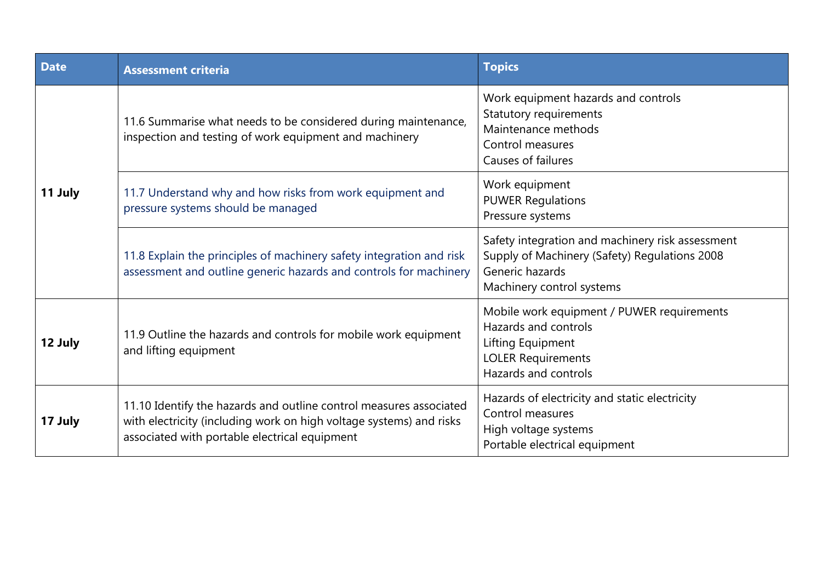| <b>Date</b> | <b>Assessment criteria</b>                                                                                                                                                                 | <b>Topics</b>                                                                                                                                     |
|-------------|--------------------------------------------------------------------------------------------------------------------------------------------------------------------------------------------|---------------------------------------------------------------------------------------------------------------------------------------------------|
| 11 July     | 11.6 Summarise what needs to be considered during maintenance,<br>inspection and testing of work equipment and machinery                                                                   | Work equipment hazards and controls<br>Statutory requirements<br>Maintenance methods<br>Control measures<br>Causes of failures                    |
|             | 11.7 Understand why and how risks from work equipment and<br>pressure systems should be managed                                                                                            | Work equipment<br><b>PUWER Regulations</b><br>Pressure systems                                                                                    |
|             | 11.8 Explain the principles of machinery safety integration and risk<br>assessment and outline generic hazards and controls for machinery                                                  | Safety integration and machinery risk assessment<br>Supply of Machinery (Safety) Regulations 2008<br>Generic hazards<br>Machinery control systems |
| 12 July     | 11.9 Outline the hazards and controls for mobile work equipment<br>and lifting equipment                                                                                                   | Mobile work equipment / PUWER requirements<br>Hazards and controls<br>Lifting Equipment<br><b>LOLER Requirements</b><br>Hazards and controls      |
| 17 July     | 11.10 Identify the hazards and outline control measures associated<br>with electricity (including work on high voltage systems) and risks<br>associated with portable electrical equipment | Hazards of electricity and static electricity<br>Control measures<br>High voltage systems<br>Portable electrical equipment                        |